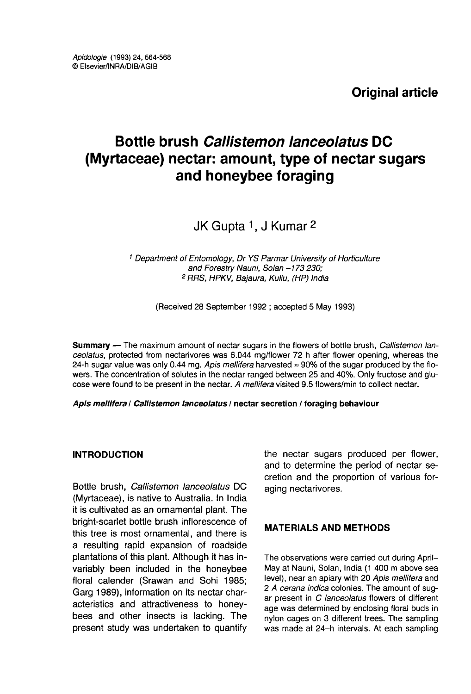Original article

# Bottle brush Callistemon lanceolatus DC (Myrtaceae) nectar: amount, type of nectar sugars and honeybee foraging

JK Gupta 1, J Kumar 2

<sup>1</sup> Department of Entomology, Dr YS Parmar University of Horticulture and Forestry Nauni, Solan -173 230; 2 RRS, HPKV, Bajaura, Kullu, (HP) India

(Received 28 September 1992 ; accepted 5 May 1993)

Summary — The maximum amount of nectar sugars in the flowers of bottle brush, Callistemon lanceolatus, protected from nectarivores was 6.044 mg/flower 72 h after flower opening, whereas the 24-h sugar value was only 0.44 mg. Apis mellifera harvested ≈ 90% of the sugar produced by the flowers. The concentration of solutes in the nectar ranged between 25 and 40%. Only fructose and glu cose were found to be present in the nectar. A mellifera visited 9.5 flowers/min to collect nectar.

Apis mellifera / Callistemon lanceolatus / nectar secretion / foraging behaviour

### INTRODUCTION

Bottle brush, Callistemon lanceolatus DC (Myrtaceae), is native to Australia. In India it is cultivated as an ornamental plant. The bright-scarlet bottle brush inflorescence of this tree is most ornamental, and there is a resulting rapid expansion of roadside plantations of this plant. Although it has invariably been included in the honeybee floral calender (Srawan and Sohi 1985; Garg 1989), information on its nectar characteristics and attractiveness to honeybees and other insects is lacking. The present study was undertaken to quantify the nectar sugars produced per flower, and to determine the period of nectar secretion and the proportion of various foraging nectarivores.

# MATERIALS AND METHODS

The observations were carried out during April-May at Nauni, Solan, India (1 400 m above sea level), near an apiary with 20 Apis mellifera and 2 A cerana indica colonies. The amount of sugar present in C lanceolatus flowers of different age was determined by enclosing floral buds in nylon cages on 3 different trees. The sampling was made at 24-h intervals. At each sampling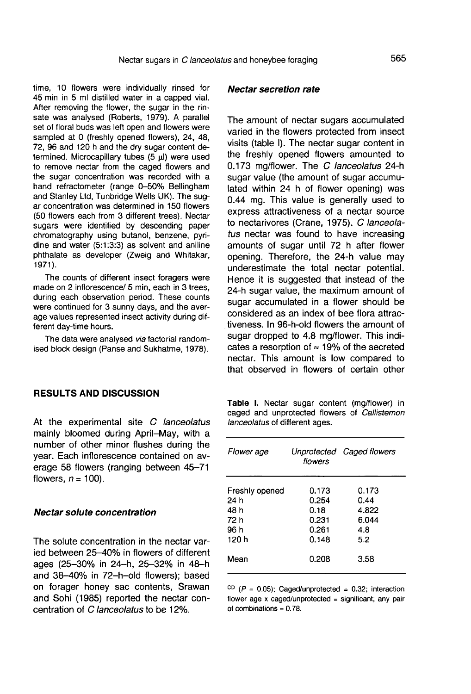time, 10 flowers were individually rinsed for 45 min in 5 ml distilled water in a capped vial. After removing the flower, the sugar in the rinsate was analysed (Roberts, 1979). A parallel set of floral buds was left open and flowers were sampled at 0 (freshly opened flowers), 24, 48, 72, 96 and 120 h and the dry sugar content determined. Microcapillary tubes (5 μl) were used to remove nectar from the caged flowers and the sugar concentration was recorded with a hand refractometer (range 0-50% Bellingham and Stanley Ltd, Tunbridge Wells UK). The sug ar concentration was determined in 150 flowers (50 flowers each from 3 different trees). Nectar sugars were identified by descending paper chromatography using butanol, benzene, pyridine and water (5:1:3:3) as solvent and aniline phthalate as developer (Zweig and Whitakar, 1971).

The counts of different insect foragers were made on 2 inflorescence/ 5 min, each in 3 trees, during each observation period. These counts were continued for 3 sunny days, and the average values represented insect activity during different day-time hours.

The data were analysed via factorial randomised block design (Panse and Sukhatme, 1978).

#### RESULTS AND DISCUSSION

At the experimental site C lanceolatus mainly bloomed during April-May, with a number of other minor flushes during the year. Each inflorescence contained on average 58 flowers (ranging between 45-71 flowers,  $n = 100$ ).

#### Nectar solute concentration

The solute concentration in the nectar varied between 25-40% in flowers of different ages (25-30% in 24-h, 25-32% in 48-h and 38-40% in 72-h-old flowers); based on forager honey sac contents, Srawan and Sohi (1985) reported the nectar concentration of C lanceolatus to be 12%.

#### Nectar secretion rate

The amount of nectar sugars accumulated varied in the flowers protected from insect visits (table I). The nectar sugar content in the freshly opened flowers amounted to 0.173 mg/flower. The C lanceolatus 24-h sugar value (the amount of sugar accumulated within 24 h of flower opening) was 0.44 mg. This value is generally used to express attractiveness of a nectar source to nectarivores (Crane, 1975). C lanceolatus nectar was found to have increasing amounts of sugar until 72 h after flower opening. Therefore, the 24-h value may underestimate the total nectar potential. Hence it is suggested that instead of the 24-h sugar value, the maximum amount of sugar accumulated in a flower should be considered as an index of bee flora attractiveness. In 96-h-old flowers the amount of sugar dropped to 4.8 mg/flower. This indicates a resorption of ≈ 19% of the secreted nectar. This amount is low compared to that observed in flowers of certain other

Table I. Nectar sugar content (mg/flower) in caged and unprotected flowers of Callistemon lanceolatus of different ages.

| Flower age             | flowers        | Unprotected Caged flowers |  |
|------------------------|----------------|---------------------------|--|
| Freshly opened<br>24 h | 0.173<br>0.254 | 0.173<br>0.44             |  |
| 48 h                   | 0.18           | 4.822                     |  |
| 72 h                   | 0.231          | 6.044                     |  |
| 96 h                   | 0.261          | 4.8                       |  |
| 120 h                  | 0.148          | 5.2                       |  |
| Mean                   | 0.208          | 3.58                      |  |

<sup>CD</sup> ( $P = 0.05$ ); Caged/unprotected = 0.32; interaction flower age x caged/unprotected = significant; any pair of combinations =  $0.78$ .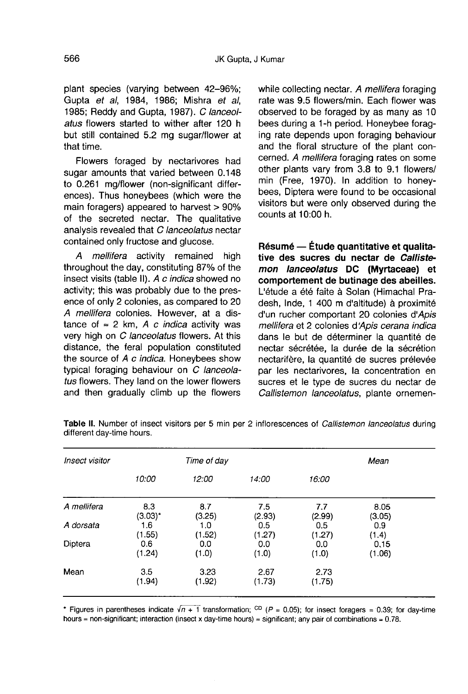plant species (varying between 42-96%; Gupta et al, 1984, 1986; Mishra et al, 1985; Reddy and Gupta, 1987). C lanceolatus flowers started to wither after 120 h but still contained 5.2 mg sugar/flower at that time.

Flowers foraged by nectarivores had sugar amounts that varied between 0.148 to 0.261 mg/flower (non-significant differences). Thus honeybees (which were the main foragers) appeared to harvest > 90% of the secreted nectar. The qualitative analysis revealed that C lanceolatus nectar contained only fructose and glucose.

A mellifera activity remained high throughout the day, constituting 87% of the insect visits (table II). A c indica showed no activity; this was probably due to the presence of only 2 colonies, as compared to 20 A mellifera colonies. However, at a distance of  $≈ 2$  km, A c *indica* activity was very high on C lanceolatus flowers. At this distance, the feral population constituted the source of A c indica. Honeybees show typical foraging behaviour on C lanceolatus flowers. They land on the lower flowers and then gradually climb up the flowers

while collecting nectar. A mellifera foraging rate was 9.5 flowers/min. Each flower was observed to be foraged by as many as 10 bees during a 1-h period. Honeybee foraging rate depends upon foraging behaviour and the floral structure of the plant concerned. A mellifera foraging rates on some other plants vary from 3.8 to 9.1 flowers/ min (Free, 1970). In addition to honeybees, Diptera were found to be occasional visitors but were only observed during the counts at 10:00 h.

Résumé — Étude quantitative et qualitative des sucres du nectar de Callistemon lanceolatus DC (Myrtaceae) et comportement de butinage des abeilles. L'étude a été faite à Solan (Himachal Pradesh, Inde, 1 400 m d'altitude) à proximité d'un rucher comportant 20 colonies d'Apis mellifera et 2 colonies d'Apis cerana indica dans le but de déterminer la quantité de nectar sécrétée, la durée de la sécrétion nectarifère, la quantité de sucres prélevée par les nectarivores, la concentration en sucres et le type de sucres du nectar de Callistemon lanceolatus, plante ornemen-

|               | 12:00                | 14:00            |                  |                  |                 |
|---------------|----------------------|------------------|------------------|------------------|-----------------|
| 10:00         |                      |                  | 16:00            |                  |                 |
| 8.3           | 8.7                  | 7.5              | 7.7              | 8.05             |                 |
| 1.6           | 1.0                  | 0.5              | 0.5              | 0.9              |                 |
| 0.6<br>(1.24) | 0.0<br>(1.0)         | 0.0<br>(1.0)     | 0.0<br>(1.0)     | 0.15<br>(1.06)   |                 |
| 3.5<br>(1.94) | 3.23<br>(1.92)       | 2.67<br>(1.73)   | 2.73<br>(1.75)   |                  |                 |
|               | $(3.03)^*$<br>(1.55) | (3.25)<br>(1.52) | (2.93)<br>(1.27) | (2.99)<br>(1.27) | (3.05)<br>(1.4) |

Table II. Number of insect visitors per 5 min per 2 inflorescences of Callistemon lanceolatus during different day-time hours.

\* Figures in parentheses indicate  $\sqrt{n+1}$  transformation; CD (P = 0.05); for insect foragers = 0.39; for day-time hours = non-significant; interaction (insect x day-time hours) = significant; any pair of combinations =  $0.78$ .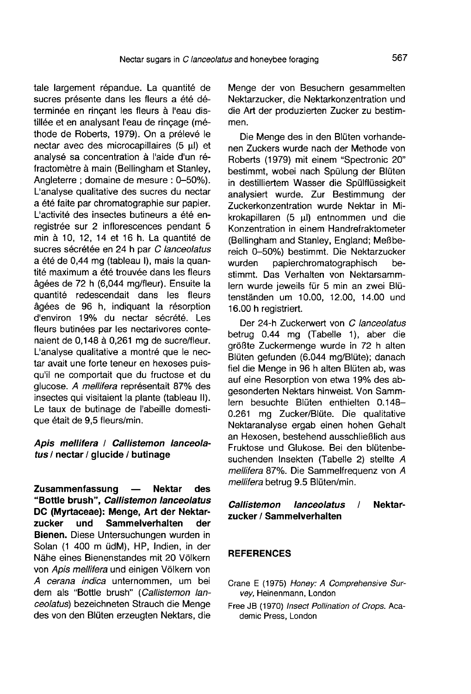tale largement répandue. La quantité de sucres présente dans les fleurs a été déterminée en rinçant les fleurs à l'eau distillée et en analysant l'eau de rincage (méthode de Roberts, 1979). On a prélevé le nectar avec des microcapillaires (5 μl) et analysé sa concentration à l'aide d'un réfractomètre à main (Bellingham et Stanley, Angleterre ; domaine de mesure : 0-50%). L'analyse qualitative des sucres du nectar a été faite par chromatographie sur papier. L'activité des insectes butineurs a été enregistrée sur 2 inflorescences pendant 5 min à 10, 12, 14 et 16 h. La quantité de sucres sécrétée en 24 h par C lanceolatus a été de 0,44 mg (tableau I), mais la quantité maximum a été trouvée dans les fleurs âgées de 72 h (6,044 mg/fleur). Ensuite la quantité redescendait dans les fleurs âgées de 96 h, indiquant la résorption d'environ 19% du nectar sécrété. Les fleurs butinées par les nectarivores contenaient de 0,148 à 0,261 mg de sucre/fleur. L'analyse qualitative a montré que le nectar avait une forte teneur en hexoses puisqu'il ne comportait que du fructose et du glucose. A mellifera représentait 87% des insectes qui visitaient la plante (tableau II). Le taux de butinage de l'abeille domestique était de 9,5 fleurs/min.

# Apis mellifera / Callistemon lanceolatus / nectar / glucide / butinage

Zusammenfassung — Nektar des "Bottle brush", Callistemon lanceolatus DC (Myrtaceae): Menge, Art der Nektar-<br>zucker und Sammelverhalten der Sammelverhalten Bienen. Diese Untersuchungen wurden in Solan (1 400 m üdM), HP, Indien, in der Nähe eines Bienenstandes mit 20 Völkern von Apis mellifera und einigen Völkern von A cerana indica unternommen, um bei dem als "Bottle brush" (Callistemon lanceolatus) bezeichneten Strauch die Menge des von den Blüten erzeugten Nektars, die Menge der von Besuchern gesammelten Nektarzucker, die Nektarkonzentration und die Art der produzierten Zucker zu bestimmen.

Die Menge des in den Blüten vorhandenen Zuckers wurde nach der Methode von Roberts (1979) mit einem "Spectronic 20" bestimmt, wobei nach Spülung der Blüten in destilliertem Wasser die Spülflüssigkeit analysiert wurde. Zur Bestimmung der Zuckerkonzentration wurde Nektar in Mikrokapillaren (5 μl) entnommen und die Konzentration in einem Handrefraktometer (Bellingham and Stanley, England; Meßbereich 0–50%) bestimmt. Die Nektarzucker<br>wurden oapierchromatographisch bepapierchromatographisch bestimmt. Das Verhalten von Nektarsammlern wurde jeweils für 5 min an zwei Blütenständen um 10.00, 12.00, 14.00 und 16.00 h registriert.

Der 24-h Zuckerwert von C lanceolatus betrug 0.44 mg (Tabelle 1), aber die größte Zuckermenge wurde in 72 h alten Blüten gefunden (6.044 mg/Blüte); danach fiel die Menge in 96 h alten Blüten ab, was auf eine Resorption von etwa 19% des abgesonderten Nektars hinweist. Von Sammlern besuchte Blüten enthielten 0.148- 0.261 mg Zucker/Blüte. Die qualitative Nektaranalyse ergab einen hohen Gehalt an Hexosen, bestehend ausschließlich aus Fruktose und Glukose. Bei den blütenbesuchenden Insekten (Tabelle 2) stellte A mellifera 87%. Die Sammelfrequenz von A mellifera betrug 9.5 Blüten/min.

# Callistemon lanceolatus / Nektarzucker / Sammelverhalten

# **REFERENCES**

- Crane E (1975) Honey: A Comprehensive Survey, Heinenmann, London
- Free JB (1970) Insect Pollination of Crops. Academic Press, London